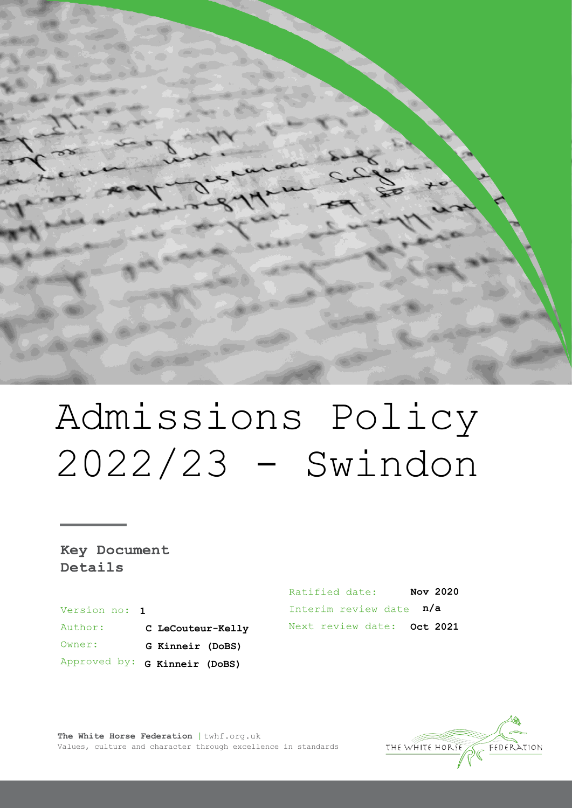

# Admissions Policy 2022/23 - Swindon

Key Document Details

Version no: 1 Author: **C LeCouteur-Kelly** Owner: **G Kinneir (DoBS)** Approved by: **G Kinneir (DoBS)** 

Ratified date: **Nov 2020** Interim review date  $n/a$ Next review date: Oct 2021



**The White Horse Federation** | twhf.org.uk Values, culture and character through excellence in standards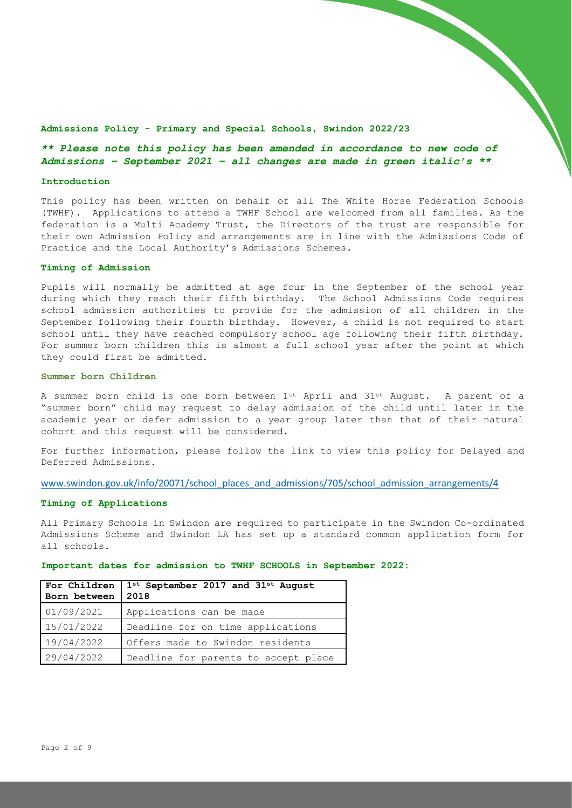#### **Admissions Policy - Primary and Special Schools, Swindon 2022/23**

# *\*\* Please note this policy has been amended in accordance to new code of Admissions – September 2021 – all changes are made in green italic's \*\**

#### **Introduction**

This policy has been written on behalf of all The White Horse Federation Schools (TWHF). Applications to attend a TWHF School are welcomed from all families. As the federation is a Multi Academy Trust, the Directors of the trust are responsible for their own Admission Policy and arrangements are in line with the Admissions Code of Practice and the Local Authority's Admissions Schemes.

## **Timing of Admission**

Pupils will normally be admitted at age four in the September of the school year during which they reach their fifth birthday. The School Admissions Code requires school admission authorities to provide for the admission of all children in the September following their fourth birthday. However, a child is not required to start school until they have reached compulsory school age following their fifth birthday. For summer born children this is almost a full school year after the point at which they could first be admitted.

#### **Summer born Children**

A summer born child is one born between 1st April and 31st August. A parent of a "summer born" child may request to delay admission of the child until later in the academic year or defer admission to a year group later than that of their natural cohort and this request will be considered.

For further information, please follow the link to view this policy for Delayed and Deferred Admissions.

[www.swindon.gov.uk/info/20071/school\\_places\\_and\\_admissions/705/school\\_admission\\_arrangements/4](http://www.swindon.gov.uk/info/20071/school_places_and_admissions/705/school_admission_arrangements/4)

## **Timing of Applications**

All Primary Schools in Swindon are required to participate in the Swindon Co-ordinated Admissions Scheme and Swindon LA has set up a standard common application form for all schools.

| For Children<br>Born between | $1^{st}$ September 2017 and $31^{st}$ August<br>2018 |
|------------------------------|------------------------------------------------------|
| 01/09/2021                   | Applications can be made                             |
| 15/01/2022                   | Deadline for on time applications                    |
| 19/04/2022                   | Offers made to Swindon residents                     |
| 29/04/2022                   | Deadline for parents to accept place                 |

#### **Important dates for admission to TWHF SCHOOLS in September 2022:**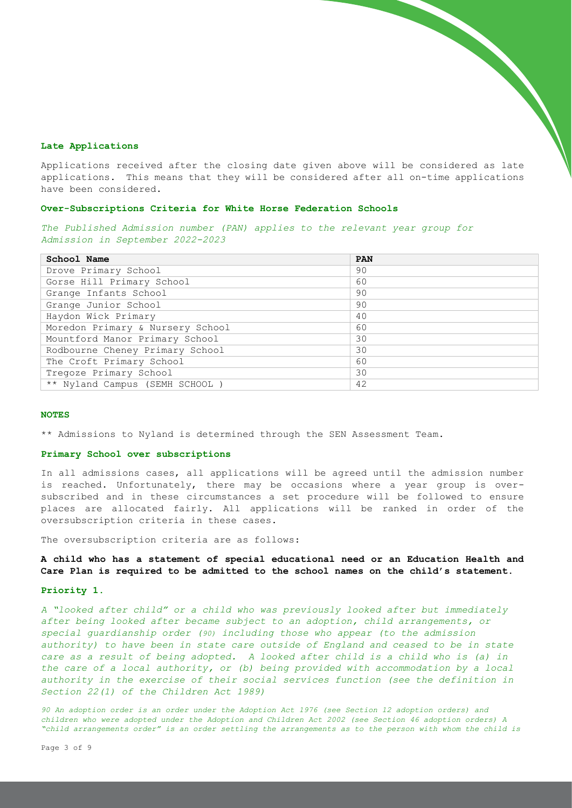## **Late Applications**

Applications received after the closing date given above will be considered as late applications. This means that they will be considered after all on-time applications have been considered.

## **Over-Subscriptions Criteria for White Horse Federation Schools**

*The Published Admission number (PAN) applies to the relevant year group for Admission in September 2022-2023*

| School Name                      | PAN |
|----------------------------------|-----|
| Drove Primary School             | 90  |
| Gorse Hill Primary School        | 60  |
| Grange Infants School            | 90  |
| Grange Junior School             | 90  |
| Haydon Wick Primary              | 40  |
| Moredon Primary & Nursery School | 60  |
| Mountford Manor Primary School   | 30  |
| Rodbourne Cheney Primary School  | 30  |
| The Croft Primary School         | 60  |
| Tregoze Primary School           | 30  |
| ** Nyland Campus (SEMH SCHOOL)   | 42  |

## **NOTES**

\*\* Admissions to Nyland is determined through the SEN Assessment Team.

#### **Primary School over subscriptions**

In all admissions cases, all applications will be agreed until the admission number is reached. Unfortunately, there may be occasions where a year group is oversubscribed and in these circumstances a set procedure will be followed to ensure places are allocated fairly. All applications will be ranked in order of the oversubscription criteria in these cases.

The oversubscription criteria are as follows:

# **A child who has a statement of special educational need or an Education Health and Care Plan is required to be admitted to the school names on the child's statement.**

## **Priority 1.**

*A "looked after child" or a child who was previously looked after but immediately after being looked after became subject to an adoption, child arrangements, or special guardianship order (90) including those who appear (to the admission authority) to have been in state care outside of England and ceased to be in state care as a result of being adopted. A looked after child is a child who is (a) in the care of a local authority, or (b) being provided with accommodation by a local authority in the exercise of their social services function (see the definition in Section 22(1) of the Children Act 1989)*

*90 An adoption order is an order under the Adoption Act 1976 (see Section 12 adoption orders) and children who were adopted under the Adoption and Children Act 2002 (see Section 46 adoption orders) A "child arrangements order" is an order settling the arrangements as to the person with whom the child is*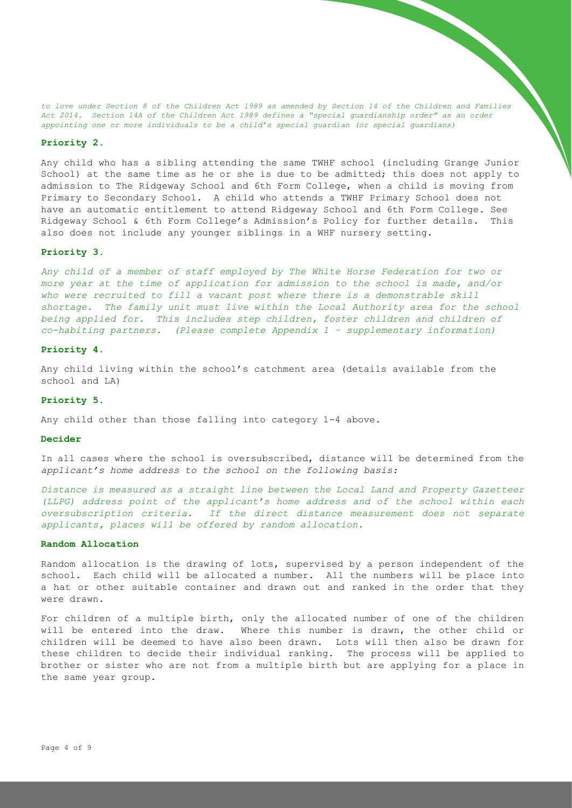*to love under Section 8 of the Children Act 1989 as amended by Section 14 of the Children and Families Act 2014. Section 14A of the Children Act 1989 defines a "special guardianship order" as an order appointing one or more individuals to be a child's special guardian (or special guardians)*

#### **Priority 2.**

Any child who has a sibling attending the same TWHF school (including Grange Junior School) at the same time as he or she is due to be admitted; this does not apply to admission to The Ridgeway School and 6th Form College, when a child is moving from Primary to Secondary School. A child who attends a TWHF Primary School does not have an automatic entitlement to attend Ridgeway School and 6th Form College. See Ridgeway School & 6th Form College's Admission's Policy for further details. This also does not include any younger siblings in a WHF nursery setting.

# **Priority 3.**

*Any child of a member of staff employed by The White Horse Federation for two or more year at the time of application for admission to the school is made, and/or who were recruited to fill a vacant post where there is a demonstrable skill shortage. The family unit must live within the Local Authority area for the school being applied for. This includes step children, foster children and children of co-habiting partners. (Please complete Appendix 1 – supplementary information)* 

#### **Priority 4.**

Any child living within the school's catchment area (details available from the school and LA)

#### **Priority 5.**

Any child other than those falling into category 1-4 above.

## **Decider**

In all cases where the school is oversubscribed, distance will be determined from the *applicant's home address to the school on the following basis:*

*Distance is measured as a straight line between the Local Land and Property Gazetteer (LLPG) address point of the applicant's home address and of the school within each oversubscription criteria. If the direct distance measurement does not separate applicants, places will be offered by random allocation.*

#### **Random Allocation**

Random allocation is the drawing of lots, supervised by a person independent of the school. Each child will be allocated a number. All the numbers will be place into a hat or other suitable container and drawn out and ranked in the order that they were drawn.

For children of a multiple birth, only the allocated number of one of the children will be entered into the draw. Where this number is drawn, the other child or children will be deemed to have also been drawn. Lots will then also be drawn for these children to decide their individual ranking. The process will be applied to brother or sister who are not from a multiple birth but are applying for a place in the same year group.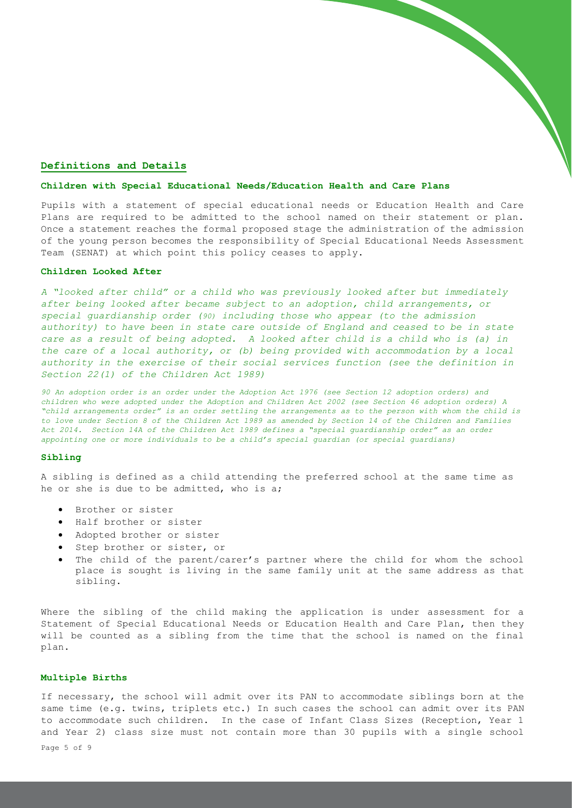## **Definitions and Details**

#### **Children with Special Educational Needs/Education Health and Care Plans**

Pupils with a statement of special educational needs or Education Health and Care Plans are required to be admitted to the school named on their statement or plan. Once a statement reaches the formal proposed stage the administration of the admission of the young person becomes the responsibility of Special Educational Needs Assessment Team (SENAT) at which point this policy ceases to apply.

### **Children Looked After**

*A "looked after child" or a child who was previously looked after but immediately after being looked after became subject to an adoption, child arrangements, or special guardianship order (90) including those who appear (to the admission authority) to have been in state care outside of England and ceased to be in state care as a result of being adopted. A looked after child is a child who is (a) in the care of a local authority, or (b) being provided with accommodation by a local authority in the exercise of their social services function (see the definition in Section 22(1) of the Children Act 1989)*

*90 An adoption order is an order under the Adoption Act 1976 (see Section 12 adoption orders) and children who were adopted under the Adoption and Children Act 2002 (see Section 46 adoption orders) A "child arrangements order" is an order settling the arrangements as to the person with whom the child is to love under Section 8 of the Children Act 1989 as amended by Section 14 of the Children and Families Act 2014. Section 14A of the Children Act 1989 defines a "special guardianship order" as an order appointing one or more individuals to be a child's special guardian (or special guardians)*

## **Sibling**

A sibling is defined as a child attending the preferred school at the same time as he or she is due to be admitted, who is a;

- Brother or sister
- Half brother or sister
- Adopted brother or sister
- Step brother or sister, or
- The child of the parent/carer's partner where the child for whom the school place is sought is living in the same family unit at the same address as that sibling.

Where the sibling of the child making the application is under assessment for a Statement of Special Educational Needs or Education Health and Care Plan, then they will be counted as a sibling from the time that the school is named on the final plan.

## **Multiple Births**

If necessary, the school will admit over its PAN to accommodate siblings born at the same time (e.g. twins, triplets etc.) In such cases the school can admit over its PAN to accommodate such children. In the case of Infant Class Sizes (Reception, Year 1 and Year 2) class size must not contain more than 30 pupils with a single school

Page 5 of 9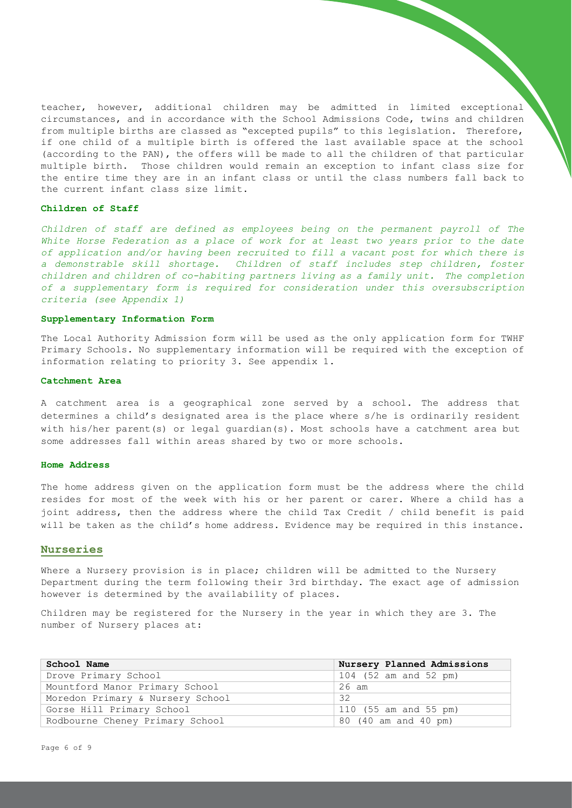teacher, however, additional children may be admitted in limited exceptional circumstances, and in accordance with the School Admissions Code, twins and children from multiple births are classed as "excepted pupils" to this legislation. Therefore, if one child of a multiple birth is offered the last available space at the school (according to the PAN), the offers will be made to all the children of that particular multiple birth. Those children would remain an exception to infant class size for the entire time they are in an infant class or until the class numbers fall back to the current infant class size limit.

## **Children of Staff**

*Children of staff are defined as employees being on the permanent payroll of The White Horse Federation as a place of work for at least two years prior to the date of application and/or having been recruited to fill a vacant post for which there is a demonstrable skill shortage. Children of staff includes step children, foster children and children of co-habiting partners living as a family unit. The completion of a supplementary form is required for consideration under this oversubscription criteria (see Appendix 1)*

## **Supplementary Information Form**

The Local Authority Admission form will be used as the only application form for TWHF Primary Schools. No supplementary information will be required with the exception of information relating to priority 3. See appendix 1.

#### **Catchment Area**

A catchment area is a geographical zone served by a school. The address that determines a child's designated area is the place where s/he is ordinarily resident with his/her parent(s) or legal guardian(s). Most schools have a catchment area but some addresses fall within areas shared by two or more schools.

## **Home Address**

The home address given on the application form must be the address where the child resides for most of the week with his or her parent or carer. Where a child has a joint address, then the address where the child Tax Credit / child benefit is paid will be taken as the child's home address. Evidence may be required in this instance.

## **Nurseries**

Where a Nursery provision is in place; children will be admitted to the Nursery Department during the term following their 3rd birthday. The exact age of admission however is determined by the availability of places.

Children may be registered for the Nursery in the year in which they are 3. The number of Nursery places at:

| School Name                      | Nursery Planned Admissions |
|----------------------------------|----------------------------|
| Drove Primary School             | 104 (52 am and 52 pm)      |
| Mountford Manor Primary School   | 26 am                      |
| Moredon Primary & Nursery School | 32                         |
| Gorse Hill Primary School        | 110 (55 am and 55 pm)      |
| Rodbourne Cheney Primary School  | 80 (40 am and 40 pm)       |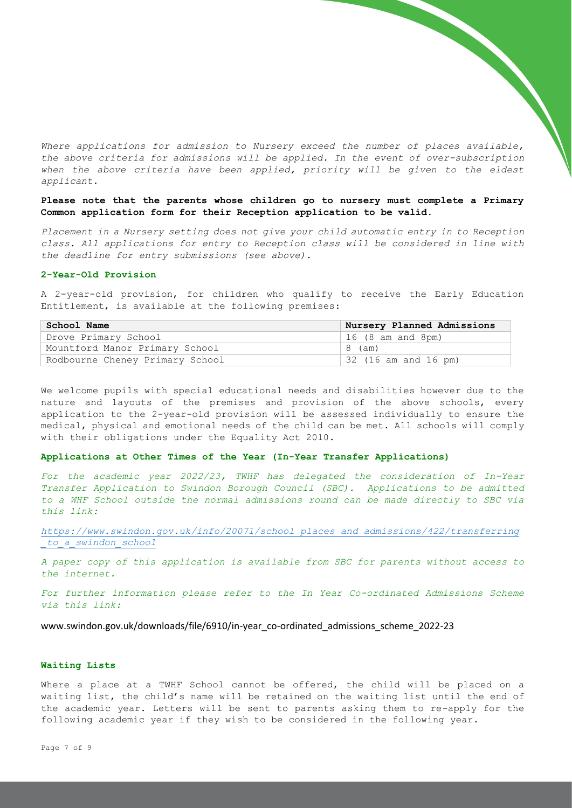*Where applications for admission to Nursery exceed the number of places available, the above criteria for admissions will be applied. In the event of over-subscription*  when the above criteria have been applied, priority will be given to the eldest *applicant.* 

# **Please note that the parents whose children go to nursery must complete a Primary Common application form for their Reception application to be valid.**

*Placement in a Nursery setting does not give your child automatic entry in to Reception class. All applications for entry to Reception class will be considered in line with the deadline for entry submissions (see above).* 

## **2-Year-Old Provision**

A 2-year-old provision, for children who qualify to receive the Early Education Entitlement, is available at the following premises:

| School Name                     | Nursery Planned Admissions |
|---------------------------------|----------------------------|
| Drove Primary School            | $16$ (8 am and 8pm)        |
| Mountford Manor Primary School  | 8 (am)                     |
| Rodbourne Cheney Primary School | 32 (16 am and 16 pm)       |

We welcome pupils with special educational needs and disabilities however due to the nature and layouts of the premises and provision of the above schools, every application to the 2-year-old provision will be assessed individually to ensure the medical, physical and emotional needs of the child can be met. All schools will comply with their obligations under the Equality Act 2010.

## **Applications at Other Times of the Year (In-Year Transfer Applications)**

*For the academic year 2022/23, TWHF has delegated the consideration of In-Year Transfer Application to Swindon Borough Council (SBC). Applications to be admitted to a WHF School outside the normal admissions round can be made directly to SBC via this link:* 

*[https://www.swindon.gov.uk/info/20071/school\\_places\\_and\\_admissions/422/transferring](https://www.swindon.gov.uk/info/20071/school_places_and_admissions/422/transferring_to_a_swindon_school) [\\_to\\_a\\_swindon\\_school](https://www.swindon.gov.uk/info/20071/school_places_and_admissions/422/transferring_to_a_swindon_school)*

*A paper copy of this application is available from SBC for parents without access to the internet.*

*For further information please refer to the In Year Co-ordinated Admissions Scheme via this link:* 

www.swindon.gov.uk/downloads/file/6910/in-year\_co-ordinated\_admissions\_scheme\_2022-23

# **Waiting Lists**

Where a place at a TWHF School cannot be offered, the child will be placed on a waiting list, the child's name will be retained on the waiting list until the end of the academic year. Letters will be sent to parents asking them to re-apply for the following academic year if they wish to be considered in the following year.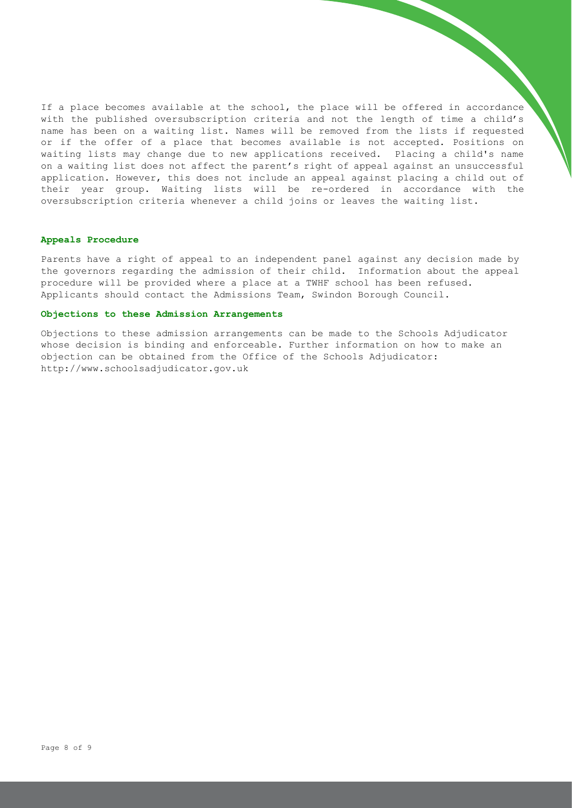If a place becomes available at the school, the place will be offered in accordance with the published oversubscription criteria and not the length of time a child's name has been on a waiting list. Names will be removed from the lists if requested or if the offer of a place that becomes available is not accepted. Positions on waiting lists may change due to new applications received. Placing a child's name on a waiting list does not affect the parent's right of appeal against an unsuccessful application. However, this does not include an appeal against placing a child out of their year group. Waiting lists will be re-ordered in accordance with the oversubscription criteria whenever a child joins or leaves the waiting list.

## **Appeals Procedure**

Parents have a right of appeal to an independent panel against any decision made by the governors regarding the admission of their child. Information about the appeal procedure will be provided where a place at a TWHF school has been refused. Applicants should contact the Admissions Team, Swindon Borough Council.

## **Objections to these Admission Arrangements**

Objections to these admission arrangements can be made to the Schools Adjudicator whose decision is binding and enforceable. Further information on how to make an objection can be obtained from the Office of the Schools Adjudicator: http://www.schoolsadjudicator.gov.uk